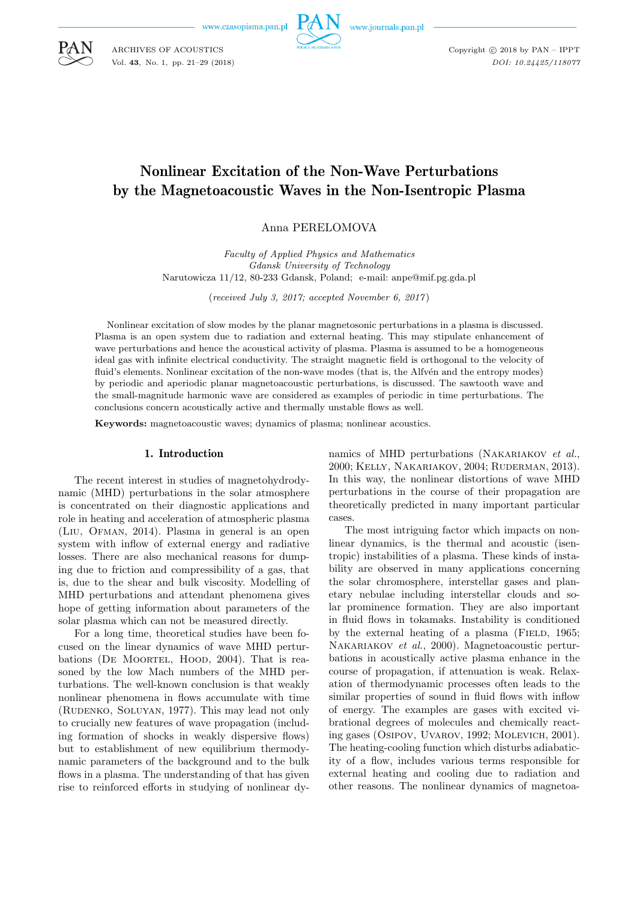www.czasopisma.pan.pl



Copyright  $\odot$  2018 by PAN - IPPT *DOI: 10.24425/118077*

# Nonlinear Excitation of the Non-Wave Perturbations by the Magnetoacoustic Waves in the Non-Isentropic Plasma

Anna PERELOMOVA

*Faculty of Applied Physics and Mathematics Gdansk University of Technology* Narutowicza 11/12, 80-233 Gdansk, Poland; e-mail: anpe@mif.pg.gda.pl

(*received July 3, 2017; accepted November 6, 2017* )

Nonlinear excitation of slow modes by the planar magnetosonic perturbations in a plasma is discussed. Plasma is an open system due to radiation and external heating. This may stipulate enhancement of wave perturbations and hence the acoustical activity of plasma. Plasma is assumed to be a homogeneous ideal gas with infinite electrical conductivity. The straight magnetic field is orthogonal to the velocity of fluid's elements. Nonlinear excitation of the non-wave modes (that is, the Alfvén and the entropy modes) by periodic and aperiodic planar magnetoacoustic perturbations, is discussed. The sawtooth wave and the small-magnitude harmonic wave are considered as examples of periodic in time perturbations. The conclusions concern acoustically active and thermally unstable flows as well.

**Keywords:** magnetoacoustic waves; dynamics of plasma; nonlinear acoustics.

### 1. Introduction

The recent interest in studies of magnetohydrodynamic (MHD) perturbations in the solar atmosphere is concentrated on their diagnostic applications and role in heating and acceleration of atmospheric plasma (Liu, Ofman, 2014). Plasma in general is an open system with inflow of external energy and radiative losses. There are also mechanical reasons for dumping due to friction and compressibility of a gas, that is, due to the shear and bulk viscosity. Modelling of MHD perturbations and attendant phenomena gives hope of getting information about parameters of the solar plasma which can not be measured directly.

For a long time, theoretical studies have been focused on the linear dynamics of wave MHD perturbations (DE MOORTEL, HOOD, 2004). That is reasoned by the low Mach numbers of the MHD perturbations. The well-known conclusion is that weakly nonlinear phenomena in flows accumulate with time (Rudenko, Soluyan, 1977). This may lead not only to crucially new features of wave propagation (including formation of shocks in weakly dispersive flows) but to establishment of new equilibrium thermodynamic parameters of the background and to the bulk flows in a plasma. The understanding of that has given rise to reinforced efforts in studying of nonlinear dynamics of MHD perturbations (Nakariakov *et al.*, 2000; Kelly, Nakariakov, 2004; Ruderman, 2013). In this way, the nonlinear distortions of wave MHD perturbations in the course of their propagation are theoretically predicted in many important particular cases.

The most intriguing factor which impacts on nonlinear dynamics, is the thermal and acoustic (isentropic) instabilities of a plasma. These kinds of instability are observed in many applications concerning the solar chromosphere, interstellar gases and planetary nebulae including interstellar clouds and solar prominence formation. They are also important in fluid flows in tokamaks. Instability is conditioned by the external heating of a plasma (FIELD,  $1965$ ; Nakariakov *et al.*, 2000). Magnetoacoustic perturbations in acoustically active plasma enhance in the course of propagation, if attenuation is weak. Relaxation of thermodynamic processes often leads to the similar properties of sound in fluid flows with inflow of energy. The examples are gases with excited vibrational degrees of molecules and chemically reacting gases (Osipov, Uvarov, 1992; Molevich, 2001). The heating-cooling function which disturbs adiabaticity of a flow, includes various terms responsible for external heating and cooling due to radiation and other reasons. The nonlinear dynamics of magnetoa-



ARCHIVES OF ACOUSTICS Vol. **43**, No. 1, pp. 21–29 (2018)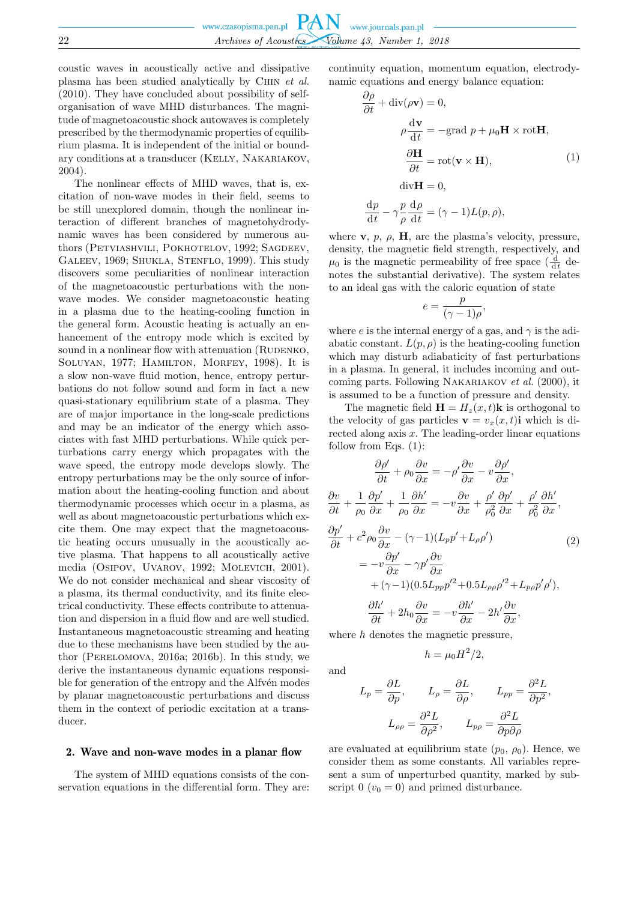coustic waves in acoustically active and dissipative plasma has been studied analytically by Chin *et al.* (2010). They have concluded about possibility of selforganisation of wave MHD disturbances. The magnitude of magnetoacoustic shock autowaves is completely prescribed by the thermodynamic properties of equilibrium plasma. It is independent of the initial or boundary conditions at a transducer (Kelly, Nakariakov, 2004).

The nonlinear effects of MHD waves, that is, excitation of non-wave modes in their field, seems to be still unexplored domain, though the nonlinear interaction of different branches of magnetohydrodynamic waves has been considered by numerous authors (PETVIASHVILI, POKHOTELOV, 1992; SAGDEEV, Galeev, 1969; Shukla, Stenflo, 1999). This study discovers some peculiarities of nonlinear interaction of the magnetoacoustic perturbations with the nonwave modes. We consider magnetoacoustic heating in a plasma due to the heating-cooling function in the general form. Acoustic heating is actually an enhancement of the entropy mode which is excited by sound in a nonlinear flow with attenuation (RUDENKO, SOLUYAN, 1977; HAMILTON, MORFEY, 1998). It is a slow non-wave fluid motion, hence, entropy perturbations do not follow sound and form in fact a new quasi-stationary equilibrium state of a plasma. They are of major importance in the long-scale predictions and may be an indicator of the energy which associates with fast MHD perturbations. While quick perturbations carry energy which propagates with the wave speed, the entropy mode develops slowly. The entropy perturbations may be the only source of information about the heating-cooling function and about thermodynamic processes which occur in a plasma, as well as about magnetoacoustic perturbations which excite them. One may expect that the magnetoacoustic heating occurs unusually in the acoustically active plasma. That happens to all acoustically active media (Osipov, Uvarov, 1992; Molevich, 2001). We do not consider mechanical and shear viscosity of a plasma, its thermal conductivity, and its finite electrical conductivity. These effects contribute to attenuation and dispersion in a fluid flow and are well studied. Instantaneous magnetoacoustic streaming and heating due to these mechanisms have been studied by the author (Perelomova, 2016a; 2016b). In this study, we derive the instantaneous dynamic equations responsible for generation of the entropy and the Alfvén modes by planar magnetoacoustic perturbations and discuss them in the context of periodic excitation at a transducer.

#### 2. Wave and non-wave modes in a planar flow

The system of MHD equations consists of the conservation equations in the differential form. They are: continuity equation, momentum equation, electrodynamic equations and energy balance equation:

$$
\frac{\partial \rho}{\partial t} + \text{div}(\rho \mathbf{v}) = 0,
$$
  
\n
$$
\rho \frac{\text{d}\mathbf{v}}{\text{d}t} = -\text{grad } p + \mu_0 \mathbf{H} \times \text{rot}\mathbf{H},
$$
  
\n
$$
\frac{\partial \mathbf{H}}{\partial t} = \text{rot}(\mathbf{v} \times \mathbf{H}),
$$
  
\n
$$
\text{div}\mathbf{H} = 0,
$$
  
\n
$$
\frac{\text{d}p}{\text{d}t} - \gamma \frac{p}{\rho} \frac{\text{d}\rho}{\text{d}t} = (\gamma - 1)L(p, \rho),
$$
\n(1)

where **v**,  $p$ ,  $\boldsymbol{\beta}$ , **H**, are the plasma's velocity, pressure, density, the magnetic field strength, respectively, and  $\mu_0$  is the magnetic permeability of free space  $\left(\frac{d}{dt} \right)$  denotes the substantial derivative). The system relates to an ideal gas with the caloric equation of state

$$
e = \frac{p}{(\gamma - 1)\rho},
$$

where e is the internal energy of a gas, and  $\gamma$  is the adiabatic constant.  $L(p, \rho)$  is the heating-cooling function which may disturb adiabaticity of fast perturbations in a plasma. In general, it includes incoming and outcoming parts. Following Nakariakov *et al.* (2000), it is assumed to be a function of pressure and density.

The magnetic field  $\mathbf{H} = H_z(x, t)\mathbf{k}$  is orthogonal to the velocity of gas particles  $\mathbf{v} = v_x(x, t)$ **i** which is directed along axis  $x$ . The leading-order linear equations follow from Eqs. (1):

$$
\frac{\partial \rho'}{\partial t} + \rho_0 \frac{\partial v}{\partial x} = -\rho' \frac{\partial v}{\partial x} - v \frac{\partial \rho'}{\partial x},
$$
  

$$
\frac{\partial v}{\partial t} + \frac{1}{\rho_0} \frac{\partial p'}{\partial x} + \frac{1}{\rho_0} \frac{\partial h'}{\partial x} = -v \frac{\partial v}{\partial x} + \frac{\rho'}{\rho_0^2} \frac{\partial p'}{\partial x} + \frac{\rho'}{\rho_0^2} \frac{\partial h'}{\partial x},
$$
  

$$
\frac{\partial p'}{\partial t} + c^2 \rho_0 \frac{\partial v}{\partial x} - (\gamma - 1)(L_p p' + L_\rho \rho') \qquad (2)
$$
  

$$
= -v \frac{\partial p'}{\partial x} - \gamma p' \frac{\partial v}{\partial x}
$$
  

$$
+ (\gamma - 1)(0.5L_{pp}p'^2 + 0.5L_{\rho\rho}\rho'^2 + L_{pp}p'\rho'),
$$
  

$$
\frac{\partial h'}{\partial t} + 2h_0 \frac{\partial v}{\partial x} = -v \frac{\partial h'}{\partial x} - 2h' \frac{\partial v}{\partial x},
$$

where h denotes the magnetic pressure,

and

$$
L_p = \frac{\partial L}{\partial p}, \qquad L_\rho = \frac{\partial L}{\partial \rho}, \qquad L_{pp} = \frac{\partial^2 L}{\partial p^2},
$$

$$
L_{\rho \rho} = \frac{\partial^2 L}{\partial \rho^2}, \qquad L_{p \rho} = \frac{\partial^2 L}{\partial p \partial \rho}
$$

 $h = \mu_0 H^2 / 2,$ 

are evaluated at equilibrium state  $(p_0, \rho_0)$ . Hence, we consider them as some constants. All variables represent a sum of unperturbed quantity, marked by subscript  $0 (v_0 = 0)$  and primed disturbance.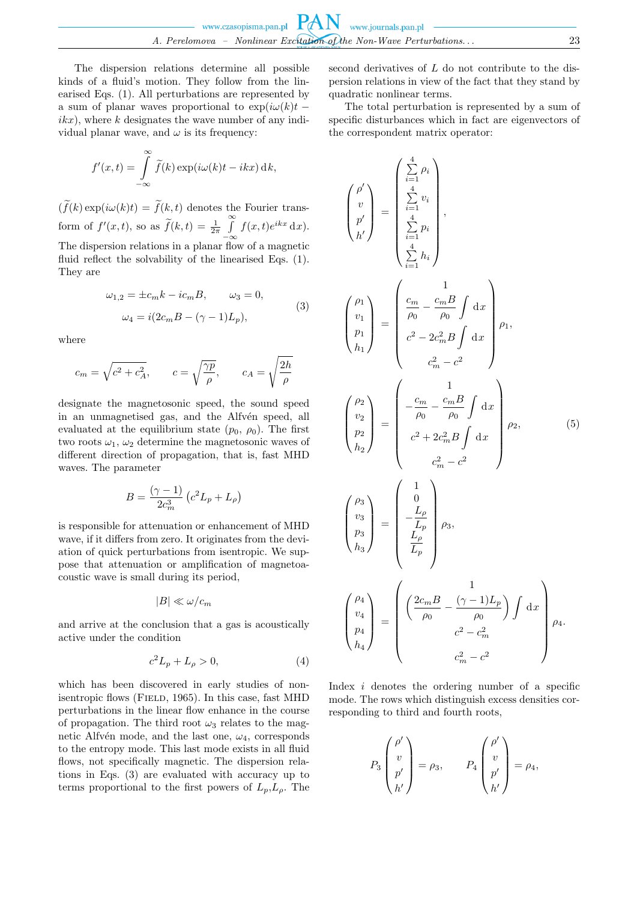The dispersion relations determine all possible kinds of a fluid's motion. They follow from the linearised Eqs. (1). All perturbations are represented by a sum of planar waves proportional to  $\exp(i\omega(k)t$  $ikx$ , where k designates the wave number of any individual planar wave, and  $\omega$  is its frequency:

$$
f'(x,t) = \int_{-\infty}^{\infty} \tilde{f}(k) \exp(i\omega(k)t - ikx) \, \mathrm{d}k,
$$

 $(\widetilde{f}(k) \exp(i\omega(k)t) = \widetilde{f}(k,t)$  denotes the Fourier transform of  $f'(x,t)$ , so as  $\widetilde{f}(k,t) = \frac{1}{2\pi} \int_{-\infty}^{\infty}$  $-\infty$  $f(x,t)e^{ikx} dx$ . The dispersion relations in a planar flow of a magnetic fluid reflect the solvability of the linearised Eqs. (1). They are

$$
\omega_{1,2} = \pm c_m k - i c_m B, \qquad \omega_3 = 0,
$$
  

$$
\omega_4 = i(2c_m B - (\gamma - 1)L_p),
$$
 (3)

where

$$
c_m = \sqrt{c^2 + c_A^2}, \qquad c = \sqrt{\frac{\gamma p}{\rho}}, \qquad c_A = \sqrt{\frac{2h}{\rho}}
$$

designate the magnetosonic speed, the sound speed in an unmagnetised gas, and the Alfvén speed, all evaluated at the equilibrium state  $(p_0, \rho_0)$ . The first two roots  $\omega_1$ ,  $\omega_2$  determine the magnetosonic waves of different direction of propagation, that is, fast MHD waves. The parameter

$$
B = \frac{(\gamma - 1)}{2c_m^3} \left( c^2 L_p + L_\rho \right)
$$

is responsible for attenuation or enhancement of MHD wave, if it differs from zero. It originates from the deviation of quick perturbations from isentropic. We suppose that attenuation or amplification of magnetoacoustic wave is small during its period,

$$
|B| \ll \omega/c_m
$$

and arrive at the conclusion that a gas is acoustically active under the condition

$$
c^2 L_p + L_\rho > 0,\t\t(4)
$$

which has been discovered in early studies of nonisentropic flows (FIELD, 1965). In this case, fast MHD perturbations in the linear flow enhance in the course of propagation. The third root  $\omega_3$  relates to the magnetic Alfvén mode, and the last one,  $\omega_4$ , corresponds to the entropy mode. This last mode exists in all fluid flows, not specifically magnetic. The dispersion relations in Eqs. (3) are evaluated with accuracy up to terms proportional to the first powers of  $L_p, L_\rho$ . The second derivatives of L do not contribute to the dispersion relations in view of the fact that they stand by quadratic nonlinear terms.

The total perturbation is represented by a sum of specific disturbances which in fact are eigenvectors of the correspondent matrix operator:

$$
\begin{pmatrix}\n\rho' \\
v \\
p' \\
h'\n\end{pmatrix} = \begin{pmatrix}\n\frac{4}{2} & \rho_i \\
\frac{4}{2} & v_i \\
\frac{4}{2} & \rho_i \\
\frac{4}{2} & h_i\n\end{pmatrix},
$$
\n
$$
\begin{pmatrix}\n\rho_1 \\
v_1 \\
p_1 \\
h_1\n\end{pmatrix} = \begin{pmatrix}\n\frac{c_m}{\rho_0} - \frac{c_m B}{\rho_0} \int dx \\
\frac{c^2 - 2c_m^2 B \int dx}{c^2 - c^2}\n\end{pmatrix} \rho_1,
$$
\n
$$
\begin{pmatrix}\n\rho_2 \\
v_2 \\
h_2\n\end{pmatrix} = \begin{pmatrix}\n-\frac{c_m}{\rho_0} - \frac{c_m B}{\rho_0} \int dx \\
c^2 + 2c_m^2 B \int dx \\
c^2 + 2c_m^2 B \int dx \\
c^2 - c^2\n\end{pmatrix} \rho_2, \qquad (5)
$$
\n
$$
\begin{pmatrix}\n\rho_3 \\
v_3 \\
h_3\n\end{pmatrix} = \begin{pmatrix}\n1 \\
-\frac{L}{L_p} \\
-\frac{L}{L_p} \\
\frac{L}{L_p}\n\end{pmatrix} \rho_3,
$$
\n
$$
\begin{pmatrix}\n\rho_4 \\
v_4 \\
p_4\n\end{pmatrix} = \begin{pmatrix}\n\frac{2c_m B}{\rho_0} - \frac{(\gamma - 1)L_p}{\rho_0} \int dx \\
\frac{2c_m^2 - c_m^2}{\rho_0} - \frac{(\gamma - 1)L_p}{\rho_0} \int dx \\
\frac{c_m^2 - c_m^2}{\rho_0} - \frac{c_m^2}{\rho_0} - \frac{c_m^2}{\rho_0} - \frac{c_m^2}{\rho_0} - \frac{c_m^2}{\rho_0} - \frac{c_m^2}{\rho_0} - \frac{c_m^2}{\rho_0} - \frac{c_m^2}{\rho_0} - \frac{c_m^2}{\rho_0} - \frac{c_m^2}{\rho_0} - \frac{c_m^2}{\rho_0} - \frac{c_m^2}{\rho_0} - \frac{c_m^2}{\rho_0} - \frac{c_m^2}{\rho_0} - \frac{c_m^2}{\rho_0} - \frac{c_m^2}{\rho_0} - \frac{c_m^2}{\rho
$$

Index  $i$  denotes the ordering number of a specific mode. The rows which distinguish excess densities corresponding to third and fourth roots,

$$
P_3\begin{pmatrix} \rho' \\ v \\ p' \\ h' \end{pmatrix} = \rho_3, \qquad P_4\begin{pmatrix} \rho' \\ v \\ p' \\ h' \end{pmatrix} = \rho_4,
$$

P3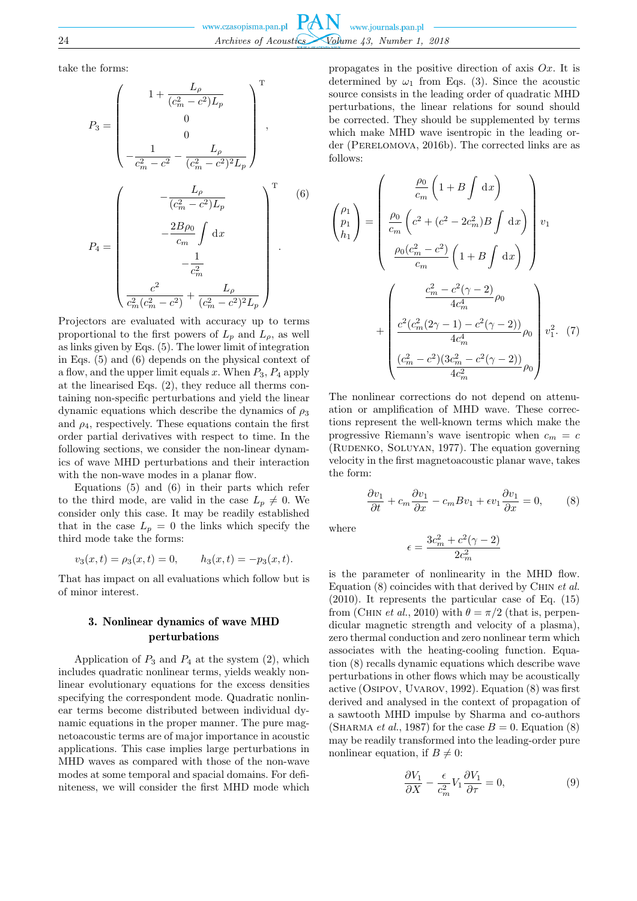take the forms:

$$
P_{3} = \begin{pmatrix} 1 + \frac{L_{\rho}}{(c_{m}^{2} - c^{2})L_{p}} \\ 0 \\ 0 \\ -\frac{1}{c_{m}^{2} - c^{2}} - \frac{L_{\rho}}{(c_{m}^{2} - c^{2})^{2}L_{p}} \end{pmatrix}^{T},
$$

$$
P_{4} = \begin{pmatrix} -\frac{L_{\rho}}{(c_{m}^{2} - c^{2})L_{p}} \\ -\frac{2B\rho_{0}}{c_{m}} \int dx \\ -\frac{1}{c_{m}^{2}} \\ \frac{c^{2}}{c_{m}^{2}(c_{m}^{2} - c^{2})} + \frac{L_{\rho}}{(c_{m}^{2} - c^{2})^{2}L_{p}} \end{pmatrix}^{T}.
$$
(6)

Projectors are evaluated with accuracy up to terms proportional to the first powers of  $L_p$  and  $L_q$ , as well as links given by Eqs. (5). The lower limit of integration in Eqs. (5) and (6) depends on the physical context of a flow, and the upper limit equals  $x$ . When  $P_3$ ,  $P_4$  apply at the linearised Eqs. (2), they reduce all therms containing non-specific perturbations and yield the linear dynamic equations which describe the dynamics of  $\rho_3$ and  $\rho_4$ , respectively. These equations contain the first order partial derivatives with respect to time. In the following sections, we consider the non-linear dynamics of wave MHD perturbations and their interaction with the non-wave modes in a planar flow.

Equations (5) and (6) in their parts which refer to the third mode, are valid in the case  $L_p \neq 0$ . We consider only this case. It may be readily established that in the case  $L_p = 0$  the links which specify the third mode take the forms:

$$
v_3(x,t) = \rho_3(x,t) = 0,
$$
  $h_3(x,t) = -p_3(x,t).$ 

That has impact on all evaluations which follow but is of minor interest.

## 3. Nonlinear dynamics of wave MHD perturbations

Application of  $P_3$  and  $P_4$  at the system (2), which includes quadratic nonlinear terms, yields weakly nonlinear evolutionary equations for the excess densities specifying the correspondent mode. Quadratic nonlinear terms become distributed between individual dynamic equations in the proper manner. The pure magnetoacoustic terms are of major importance in acoustic applications. This case implies large perturbations in MHD waves as compared with those of the non-wave modes at some temporal and spacial domains. For definiteness, we will consider the first MHD mode which

propagates in the positive direction of axis  $Ox$ . It is determined by  $\omega_1$  from Eqs. (3). Since the acoustic source consists in the leading order of quadratic MHD perturbations, the linear relations for sound should be corrected. They should be supplemented by terms which make MHD wave isentropic in the leading order (PERELOMOVA, 2016b). The corrected links are as follows:

$$
\begin{pmatrix}\n\rho_1 \\
p_1 \\
h_1\n\end{pmatrix} = \begin{pmatrix}\n\frac{\rho_0}{c_m} \left( 1 + B \int \mathrm{d}x \right) \\
\frac{\rho_0}{c_m} \left( c^2 + (c^2 - 2c_m^2) B \int \mathrm{d}x \right) \\
\frac{\rho_0 (c_m^2 - c^2)}{c_m} \left( 1 + B \int \mathrm{d}x \right) \\
\frac{c_m^2 - c^2 (\gamma - 2)}{4c_m^4} \rho_0 \\
+ \begin{pmatrix}\n\frac{c^2_m - c^2 (\gamma - 2)}{4c_m^4} \rho_0 \\
\frac{c^2 (c_m^2 (2\gamma - 1) - c^2 (\gamma - 2))}{4c_m^4} \rho_0 \\
\frac{(c_m^2 - c^2)(3c_m^2 - c^2 (\gamma - 2))}{4c_m^2} \rho_0\n\end{pmatrix} v_1^2. \tag{7}
$$

The nonlinear corrections do not depend on attenuation or amplification of MHD wave. These corrections represent the well-known terms which make the progressive Riemann's wave isentropic when  $c_m = c$ (Rudenko, Soluyan, 1977). The equation governing velocity in the first magnetoacoustic planar wave, takes the form:

$$
\frac{\partial v_1}{\partial t} + c_m \frac{\partial v_1}{\partial x} - c_m B v_1 + \epsilon v_1 \frac{\partial v_1}{\partial x} = 0, \qquad (8)
$$

where

$$
\epsilon=\frac{3c_m^2+c^2(\gamma-2)}{2c_m^2}
$$

is the parameter of nonlinearity in the MHD flow. Equation (8) coincides with that derived by Chin *et al.* (2010). It represents the particular case of Eq. (15) from (CHIN *et al.*, 2010) with  $\theta = \pi/2$  (that is, perpendicular magnetic strength and velocity of a plasma), zero thermal conduction and zero nonlinear term which associates with the heating-cooling function. Equation (8) recalls dynamic equations which describe wave perturbations in other flows which may be acoustically active (Osipov, Uvarov, 1992). Equation (8) was first derived and analysed in the context of propagation of a sawtooth MHD impulse by Sharma and co-authors (SHARMA *et al.*, 1987) for the case  $B = 0$ . Equation (8) may be readily transformed into the leading-order pure nonlinear equation, if  $B \neq 0$ :

$$
\frac{\partial V_1}{\partial X} - \frac{\epsilon}{c_m^2} V_1 \frac{\partial V_1}{\partial \tau} = 0,\tag{9}
$$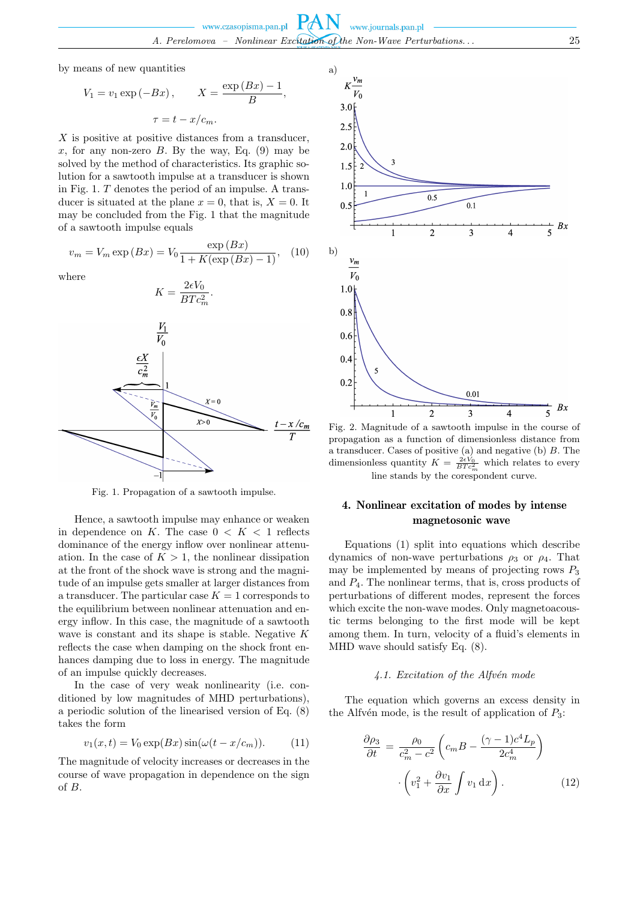by means of new quantities

$$
V_1 = v_1 \exp(-Bx), \qquad X = \frac{\exp(Bx) - 1}{B},
$$

$$
\tau = t - x/c_m.
$$

X is positive at positive distances from a transducer. x, for any non-zero  $B$ . By the way, Eq. (9) may be solved by the method of characteristics. Its graphic solution for a sawtooth impulse at a transducer is shown in Fig. 1. T denotes the period of an impulse. A transducer is situated at the plane  $x = 0$ , that is,  $X = 0$ . It may be concluded from the Fig. 1 that the magnitude of a sawtooth impulse equals

$$
v_m = V_m \exp(Bx) = V_0 \frac{\exp(Bx)}{1 + K(\exp(Bx) - 1)},
$$
 (10)

where



Fig. 1. Propagation of a sawtooth impulse.

Hence, a sawtooth impulse may enhance or weaken in dependence on K. The case  $0 \lt K \lt 1$  reflects dominance of the energy inflow over nonlinear attenuation. In the case of  $K > 1$ , the nonlinear dissipation at the front of the shock wave is strong and the magnitude of an impulse gets smaller at larger distances from a transducer. The particular case  $K = 1$  corresponds to the equilibrium between nonlinear attenuation and energy inflow. In this case, the magnitude of a sawtooth wave is constant and its shape is stable. Negative K reflects the case when damping on the shock front enhances damping due to loss in energy. The magnitude of an impulse quickly decreases.

In the case of very weak nonlinearity (i.e. conditioned by low magnitudes of MHD perturbations), a periodic solution of the linearised version of Eq. (8) takes the form

$$
v_1(x,t) = V_0 \exp(Bx) \sin(\omega(t - x/c_m)). \tag{11}
$$

The magnitude of velocity increases or decreases in the course of wave propagation in dependence on the sign of B.



Fig. 2. Magnitude of a sawtooth impulse in the course of propagation as a function of dimensionless distance from a transducer. Cases of positive (a) and negative (b) B. The dimensionless quantity  $K = \frac{2\epsilon V_0}{BTc_m^2}$  which relates to every line stands by the corespondent curve.

## 4. Nonlinear excitation of modes by intense magnetosonic wave

Equations (1) split into equations which describe dynamics of non-wave perturbations  $\rho_3$  or  $\rho_4$ . That may be implemented by means of projecting rows  $P_3$ and  $P_4$ . The nonlinear terms, that is, cross products of perturbations of different modes, represent the forces which excite the non-wave modes. Only magnetoacoustic terms belonging to the first mode will be kept among them. In turn, velocity of a fluid's elements in MHD wave should satisfy Eq. (8).

## *4.1. Excitation of the Alfv´en mode*

The equation which governs an excess density in the Alfvén mode, is the result of application of  $P_3$ :

$$
\frac{\partial \rho_3}{\partial t} = \frac{\rho_0}{c_m^2 - c^2} \left( c_m B - \frac{(\gamma - 1)c^4 L_p}{2c_m^4} \right)
$$

$$
\cdot \left( v_1^2 + \frac{\partial v_1}{\partial x} \int v_1 \, dx \right). \tag{12}
$$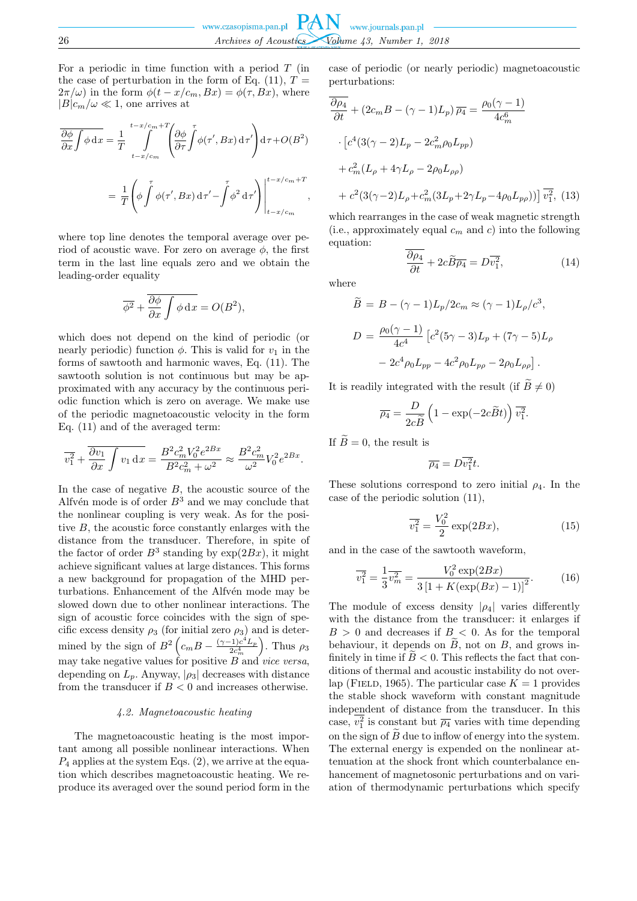For a periodic in time function with a period  $T$  (in the case of perturbation in the form of Eq. (11),  $T =$  $2\pi/\omega$ ) in the form  $\phi(t-x/c_m, Bx) = \phi(\tau, Bx)$ , where  $|B|c_m/\omega \ll 1$ , one arrives at

$$
\overline{\frac{\partial \phi}{\partial x} \int \phi \, dx} = \frac{1}{T} \int_{t-x/c_m}^{t-x/c_m+T} \left( \frac{\partial \phi}{\partial \tau} \int \phi(\tau', Bx) \, d\tau' \right) d\tau + O(B^2)
$$

$$
= \frac{1}{T} \left( \phi \int \phi(\tau', Bx) \, d\tau' - \int \phi^2 \, d\tau' \right) \Big|_{t-x/c_m}^{t-x/c_m+T},
$$

where top line denotes the temporal average over period of acoustic wave. For zero on average  $\phi$ , the first term in the last line equals zero and we obtain the leading-order equality

$$
\overline{\phi^2} + \frac{\overline{\partial \phi}}{\partial x} \int \phi \, dx = O(B^2),
$$

which does not depend on the kind of periodic (or nearly periodic) function  $\phi$ . This is valid for  $v_1$  in the forms of sawtooth and harmonic waves, Eq. (11). The sawtooth solution is not continuous but may be approximated with any accuracy by the continuous periodic function which is zero on average. We make use of the periodic magnetoacoustic velocity in the form Eq. (11) and of the averaged term:

$$
\overline{v_1^2} + \overline{\frac{\partial v_1}{\partial x} \int v_1 \, dx} = \frac{B^2 c_m^2 V_0^2 e^{2Bx}}{B^2 c_m^2 + \omega^2} \approx \frac{B^2 c_m^2}{\omega^2} V_0^2 e^{2Bx}.
$$

In the case of negative  $B$ , the acoustic source of the Alfvén mode is of order  $B<sup>3</sup>$  and we may conclude that the nonlinear coupling is very weak. As for the positive B, the acoustic force constantly enlarges with the distance from the transducer. Therefore, in spite of the factor of order  $B^3$  standing by  $\exp(2Bx)$ , it might achieve significant values at large distances. This forms a new background for propagation of the MHD perturbations. Enhancement of the Alfvén mode may be slowed down due to other nonlinear interactions. The sign of acoustic force coincides with the sign of specific excess density  $\rho_3$  (for initial zero  $\rho_3$ ) and is determined by the sign of  $B^2 \left( c_m B - \frac{(\gamma - 1)c^4 L_p}{2c_m^4} \right)$ ). Thus  $\rho_3$ may take negative values for positive  $B$  and *vice versa*, depending on  $L_p$ . Anyway,  $|\rho_3|$  decreases with distance from the transducer if  $B < 0$  and increases otherwise.

### *4.2. Magnetoacoustic heating*

The magnetoacoustic heating is the most important among all possible nonlinear interactions. When  $P_4$  applies at the system Eqs. (2), we arrive at the equation which describes magnetoacoustic heating. We reproduce its averaged over the sound period form in the case of periodic (or nearly periodic) magnetoacoustic perturbations:

$$
\frac{\partial \rho_4}{\partial t} + (2c_m B - (\gamma - 1)L_p) \overline{\rho_4} = \frac{\rho_0(\gamma - 1)}{4c_m^6} \n\cdot \left[ c^4 (3(\gamma - 2)L_p - 2c_m^2 \rho_0 L_{pp}) \right. \n+ c_m^2 (L_\rho + 4\gamma L_\rho - 2\rho_0 L_{\rho\rho}) \n+ c^2 (3(\gamma - 2)L_\rho + c_m^2 (3L_p + 2\gamma L_p - 4\rho_0 L_{pp})) \right] \overline{v_1^2},
$$
(13)

which rearranges in the case of weak magnetic strength (i.e., approximately equal  $c_m$  and c) into the following equation:

$$
\frac{\partial \rho_4}{\partial t} + 2c\widetilde{B}\overline{\rho_4} = D\overline{v_1^2},\tag{14}
$$

where

$$
\widetilde{B} = B - (\gamma - 1)L_p/2c_m \approx (\gamma - 1)L_\rho/c^3,
$$
  
\n
$$
D = \frac{\rho_0(\gamma - 1)}{4c^4} \left[ c^2 (5\gamma - 3)L_p + (7\gamma - 5)L_\rho \right.
$$
  
\n
$$
- 2c^4 \rho_0 L_{pp} - 4c^2 \rho_0 L_{pp} - 2\rho_0 L_{\rho\rho} \right].
$$

It is readily integrated with the result (if  $\widetilde{B}\neq 0$ )

$$
\overline{\rho_4} = \frac{D}{2c\widetilde{B}} \left( 1 - \exp(-2c\widetilde{B}t) \right) \overline{v_1^2}.
$$

If  $\widetilde{B}=0$ , the result is

$$
\overline{\rho_4}=D\overline{v_1^2}t.
$$

These solutions correspond to zero initial  $\rho_4$ . In the case of the periodic solution (11),

$$
\overline{v_1^2} = \frac{V_0^2}{2} \exp(2Bx),\tag{15}
$$

and in the case of the sawtooth waveform,

$$
\overline{v_1^2} = \frac{1}{3} \overline{v_m^2} = \frac{V_0^2 \exp(2Bx)}{3 \left[1 + K(\exp(Bx) - 1)\right]^2}.
$$
 (16)

The module of excess density  $|\rho_4|$  varies differently with the distance from the transducer: it enlarges if  $B > 0$  and decreases if  $B < 0$ . As for the temporal behaviour, it depends on  $B$ , not on  $B$ , and grows infinitely in time if  $B < 0$ . This reflects the fact that conditions of thermal and acoustic instability do not overlap (FIELD, 1965). The particular case  $K = 1$  provides the stable shock waveform with constant magnitude independent of distance from the transducer. In this case,  $v_1^2$  is constant but  $\overline{\rho_4}$  varies with time depending on the sign of  $\tilde{B}$  due to inflow of energy into the system. The external energy is expended on the nonlinear attenuation at the shock front which counterbalance enhancement of magnetosonic perturbations and on variation of thermodynamic perturbations which specify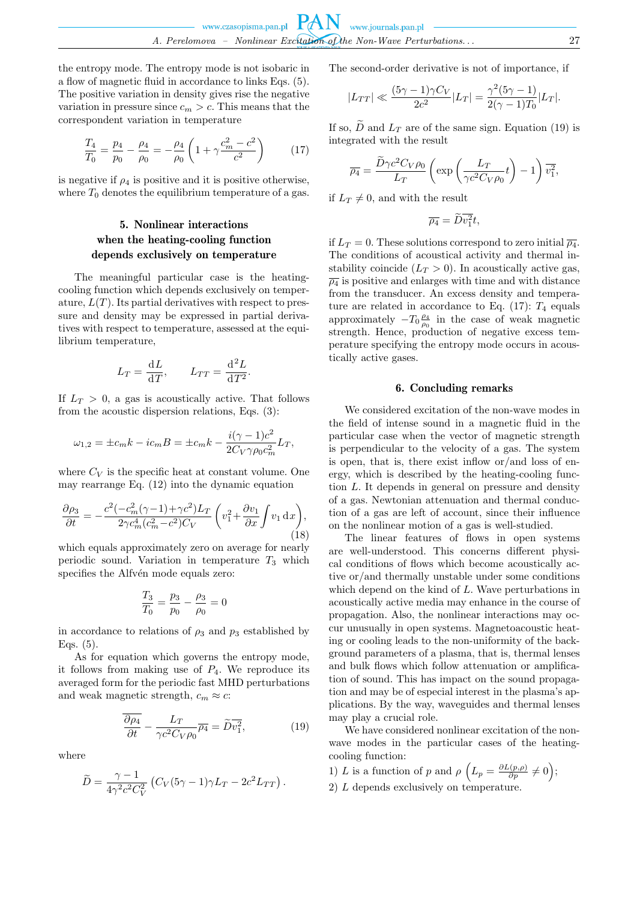the entropy mode. The entropy mode is not isobaric in a flow of magnetic fluid in accordance to links Eqs. (5). The positive variation in density gives rise the negative variation in pressure since  $c_m > c$ . This means that the correspondent variation in temperature

$$
\frac{T_4}{T_0} = \frac{p_4}{p_0} - \frac{\rho_4}{\rho_0} = -\frac{\rho_4}{\rho_0} \left( 1 + \gamma \frac{c_m^2 - c^2}{c^2} \right) \tag{17}
$$

is negative if  $\rho_4$  is positive and it is positive otherwise, where  $T_0$  denotes the equilibrium temperature of a gas.

# 5. Nonlinear interactions when the heating-cooling function depends exclusively on temperature

The meaningful particular case is the heatingcooling function which depends exclusively on temperature,  $L(T)$ . Its partial derivatives with respect to pressure and density may be expressed in partial derivatives with respect to temperature, assessed at the equilibrium temperature,

$$
L_T = \frac{\mathrm{d}L}{\mathrm{d}T}, \qquad L_{TT} = \frac{\mathrm{d}^2L}{\mathrm{d}T^2}.
$$

If  $L_T > 0$ , a gas is acoustically active. That follows from the acoustic dispersion relations, Eqs. (3):

$$
\omega_{1,2} = \pm c_m k - i c_m B = \pm c_m k - \frac{i(\gamma - 1)c^2}{2C_V \gamma \rho_0 c_m^2} L_T,
$$

where  $C_V$  is the specific heat at constant volume. One may rearrange Eq. (12) into the dynamic equation

$$
\frac{\partial \rho_3}{\partial t} = -\frac{c^2(-c_m^2(\gamma - 1) + \gamma c^2)L_T}{2\gamma c_m^4(c_m^2 - c^2)C_V} \left(v_1^2 + \frac{\partial v_1}{\partial x} \int v_1 \,dx\right),\tag{18}
$$

which equals approximately zero on average for nearly periodic sound. Variation in temperature  $T_3$  which specifies the Alfvén mode equals zero:

$$
\frac{T_3}{T_0} = \frac{p_3}{p_0} - \frac{\rho_3}{\rho_0} = 0
$$

in accordance to relations of  $\rho_3$  and  $p_3$  established by Eqs. (5).

As for equation which governs the entropy mode, it follows from making use of  $P_4$ . We reproduce its averaged form for the periodic fast MHD perturbations and weak magnetic strength,  $c_m \approx c$ :

$$
\frac{\partial \rho_4}{\partial t} - \frac{L_T}{\gamma c^2 C_V \rho_0} \overline{\rho_4} = \widetilde{D} \overline{v_1^2},\tag{19}
$$

where

$$
\widetilde{D} = \frac{\gamma - 1}{4\gamma^2 c^2 C_V^2} \left( C_V (5\gamma - 1)\gamma L_T - 2c^2 L_{TT} \right).
$$

The second-order derivative is not of importance, if

$$
|L_{TT}| \ll \frac{(5\gamma - 1)\gamma C_V}{2c^2} |L_T| = \frac{\gamma^2 (5\gamma - 1)}{2(\gamma - 1)T_0} |L_T|.
$$

If so,  $\widetilde{D}$  and  $L_T$  are of the same sign. Equation (19) is integrated with the result

$$
\overline{\rho_4} = \frac{\widetilde{D}\gamma c^2 C_V \rho_0}{L_T} \left( \exp\left(\frac{L_T}{\gamma c^2 C_V \rho_0} t\right) - 1\right) \overline{v_1^2},
$$

if  $L_T \neq 0$ , and with the result

$$
\overline{\rho_4} = Dv_1^2 t,
$$

if  $L_T = 0$ . These solutions correspond to zero initial  $\overline{\rho_4}$ . The conditions of acoustical activity and thermal instability coincide  $(L_T > 0)$ . In acoustically active gas,  $\overline{\rho_4}$  is positive and enlarges with time and with distance from the transducer. An excess density and temperature are related in accordance to Eq.  $(17)$ :  $T_4$  equals approximately  $-T_0 \frac{\rho_4}{\rho_0}$  in the case of weak magnetic strength. Hence, production of negative excess temperature specifying the entropy mode occurs in acoustically active gases.

#### 6. Concluding remarks

We considered excitation of the non-wave modes in the field of intense sound in a magnetic fluid in the particular case when the vector of magnetic strength is perpendicular to the velocity of a gas. The system is open, that is, there exist inflow or/and loss of energy, which is described by the heating-cooling function L. It depends in general on pressure and density of a gas. Newtonian attenuation and thermal conduction of a gas are left of account, since their influence on the nonlinear motion of a gas is well-studied.

The linear features of flows in open systems are well-understood. This concerns different physical conditions of flows which become acoustically active or/and thermally unstable under some conditions which depend on the kind of L. Wave perturbations in acoustically active media may enhance in the course of propagation. Also, the nonlinear interactions may occur unusually in open systems. Magnetoacoustic heating or cooling leads to the non-uniformity of the background parameters of a plasma, that is, thermal lenses and bulk flows which follow attenuation or amplification of sound. This has impact on the sound propagation and may be of especial interest in the plasma's applications. By the way, waveguides and thermal lenses may play a crucial role.

We have considered nonlinear excitation of the nonwave modes in the particular cases of the heatingcooling function:

1) L is a function of p and  $\rho \left( L_p = \frac{\partial L(p,\rho)}{\partial p} \neq 0 \right);$ 2) L depends exclusively on temperature.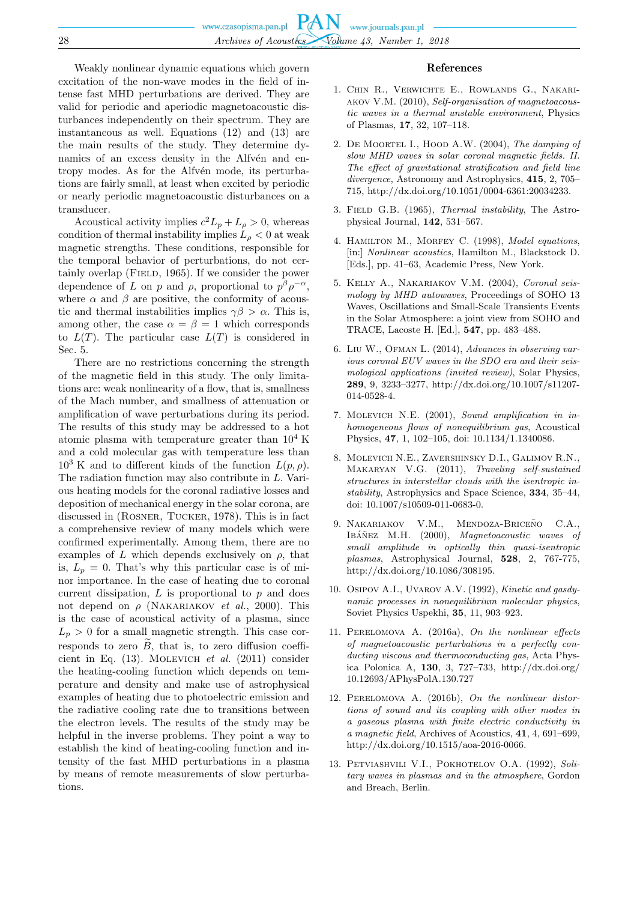Weakly nonlinear dynamic equations which govern excitation of the non-wave modes in the field of intense fast MHD perturbations are derived. They are valid for periodic and aperiodic magnetoacoustic disturbances independently on their spectrum. They are instantaneous as well. Equations (12) and (13) are the main results of the study. They determine dynamics of an excess density in the Alfvén and entropy modes. As for the Alfvén mode, its perturbations are fairly small, at least when excited by periodic or nearly periodic magnetoacoustic disturbances on a transducer.

Acoustical activity implies  $c^2 L_p + L_\rho > 0$ , whereas condition of thermal instability implies  $L_{\rho}$  < 0 at weak magnetic strengths. These conditions, responsible for the temporal behavior of perturbations, do not certainly overlap (FIELD, 1965). If we consider the power dependence of L on p and  $\rho$ , proportional to  $p^{\beta} \rho^{-\alpha}$ , where  $\alpha$  and  $\beta$  are positive, the conformity of acoustic and thermal instabilities implies  $\gamma \beta > \alpha$ . This is, among other, the case  $\alpha = \beta = 1$  which corresponds to  $L(T)$ . The particular case  $L(T)$  is considered in Sec. 5.

There are no restrictions concerning the strength of the magnetic field in this study. The only limitations are: weak nonlinearity of a flow, that is, smallness of the Mach number, and smallness of attenuation or amplification of wave perturbations during its period. The results of this study may be addressed to a hot atomic plasma with temperature greater than  $10^4$  K and a cold molecular gas with temperature less than  $10^3$  K and to different kinds of the function  $L(p, \rho)$ . The radiation function may also contribute in L. Various heating models for the coronal radiative losses and deposition of mechanical energy in the solar corona, are discussed in (Rosner, Tucker, 1978). This is in fact a comprehensive review of many models which were confirmed experimentally. Among them, there are no examples of L which depends exclusively on  $\rho$ , that is,  $L_p = 0$ . That's why this particular case is of minor importance. In the case of heating due to coronal current dissipation,  $L$  is proportional to  $p$  and does not depend on  $\rho$  (NAKARIAKOV *et al.*, 2000). This is the case of acoustical activity of a plasma, since  $L_p > 0$  for a small magnetic strength. This case corresponds to zero  $B$ , that is, to zero diffusion coefficient in Eq. (13). Molevich *et al.* (2011) consider the heating-cooling function which depends on temperature and density and make use of astrophysical examples of heating due to photoelectric emission and the radiative cooling rate due to transitions between the electron levels. The results of the study may be helpful in the inverse problems. They point a way to establish the kind of heating-cooling function and intensity of the fast MHD perturbations in a plasma by means of remote measurements of slow perturbations.

### References

- 1. Chin R., Verwichte E., Rowlands G., Nakariakov V.M. (2010), *Self-organisation of magnetoacoustic waves in a thermal unstable environment*, Physics of Plasmas, **17**, 32, 107–118.
- 2. De Moortel I., Hood A.W. (2004), *The damping of slow MHD waves in solar coronal magnetic fields. II. The effect of gravitational stratification and field line divergence*, Astronomy and Astrophysics, **415**, 2, 705– 715, http://dx.doi.org/10.1051/0004-6361:20034233.
- 3. Field G.B. (1965), *Thermal instability*, The Astrophysical Journal, **142**, 531–567.
- 4. Hamilton M., Morfey C. (1998), *Model equations*, [in:] *Nonlinear acoustics*, Hamilton M., Blackstock D. [Eds.], pp. 41–63, Academic Press, New York.
- 5. Kelly A., Nakariakov V.M. (2004), *Coronal seismology by MHD autowaves*, Proceedings of SOHO 13 Waves, Oscillations and Small-Scale Transients Events in the Solar Atmosphere: a joint view from SOHO and TRACE, Lacoste H. [Ed.], **547**, pp. 483–488.
- 6. Liu W., Ofman L. (2014), *Advances in observing various coronal EUV waves in the SDO era and their seismological applications (invited review)*, Solar Physics, **289**, 9, 3233–3277, http://dx.doi.org/10.1007/s11207- 014-0528-4.
- 7. Molevich N.E. (2001), *Sound amplification in inhomogeneous flows of nonequilibrium gas*, Acoustical Physics, **47**, 1, 102–105, doi: 10.1134/1.1340086.
- 8. Molevich N.E., Zavershinsky D.I., Galimov R.N., Makaryan V.G. (2011), *Traveling self-sustained structures in interstellar clouds with the isentropic instability*, Astrophysics and Space Science, **334**, 35–44, doi: 10.1007/s10509-011-0683-0.
- 9. NAKARIAKOV V.M., MENDOZA-BRICEÑO C.A., IBÁÑEZ M.H. (2000), *Magnetoacoustic waves of small amplitude in optically thin quasi-isentropic plasmas*, Astrophysical Journal, **528**, 2, 767-775, http://dx.doi.org/10.1086/308195.
- 10. Osipov A.I., Uvarov A.V. (1992), *Kinetic and gasdynamic processes in nonequilibrium molecular physics*, Soviet Physics Uspekhi, **35**, 11, 903–923.
- 11. Perelomova A. (2016a), *On the nonlinear effects of magnetoacoustic perturbations in a perfectly conducting viscous and thermoconducting gas*, Acta Physica Polonica A, **130**, 3, 727–733, http://dx.doi.org/ 10.12693/APhysPolA.130.727
- 12. Perelomova A. (2016b), *On the nonlinear distortions of sound and its coupling with other modes in a gaseous plasma with finite electric conductivity in a magnetic field*, Archives of Acoustics, **41**, 4, 691–699, http://dx.doi.org/10.1515/aoa-2016-0066.
- 13. Petviashvili V.I., Pokhotelov O.A. (1992), *Solitary waves in plasmas and in the atmosphere*, Gordon and Breach, Berlin.